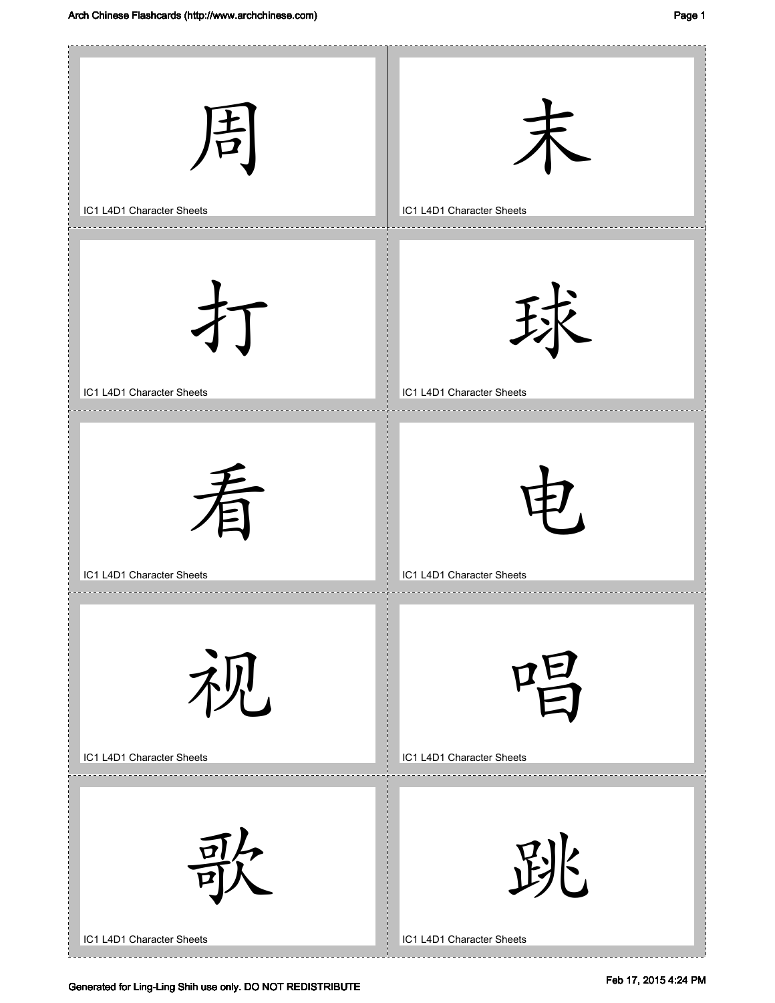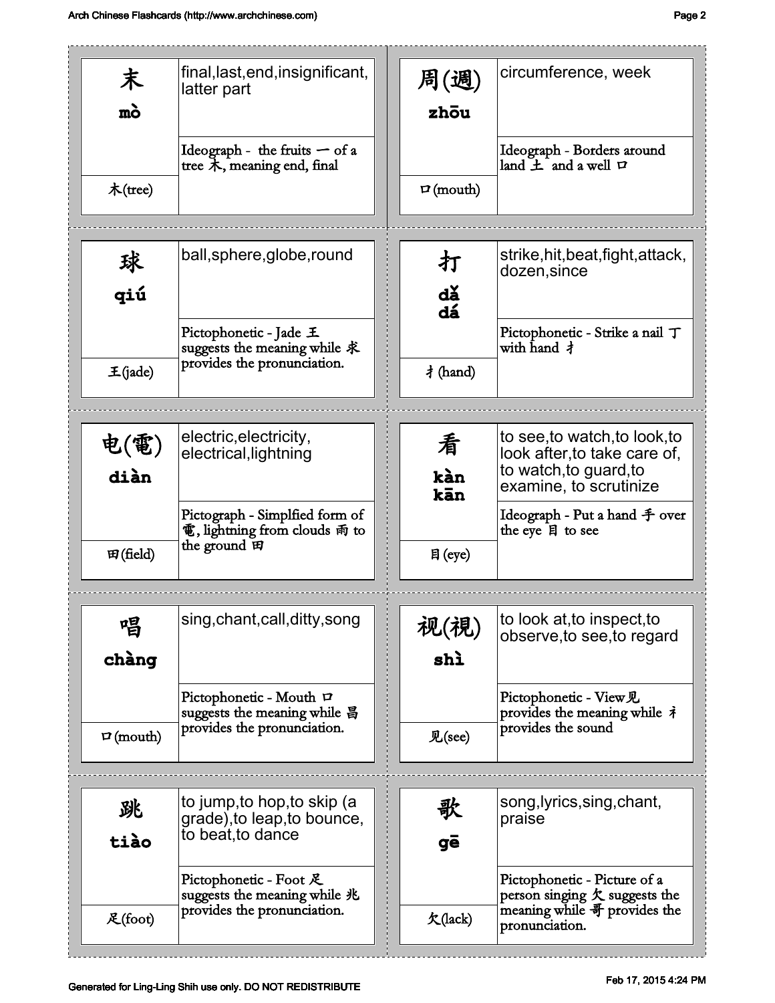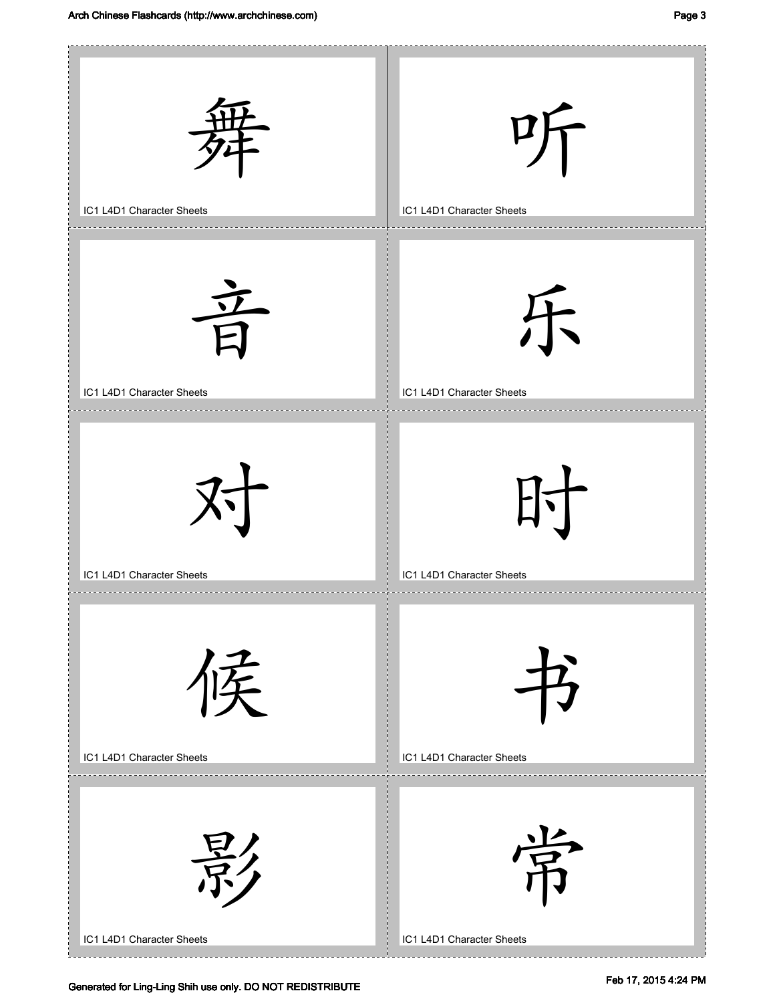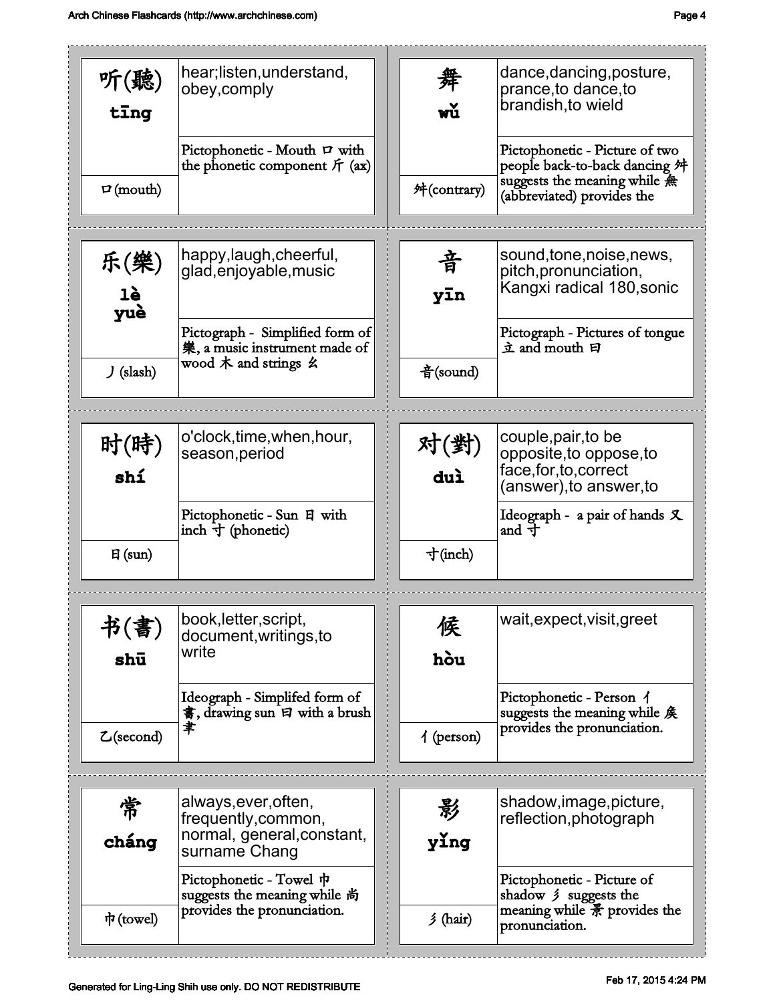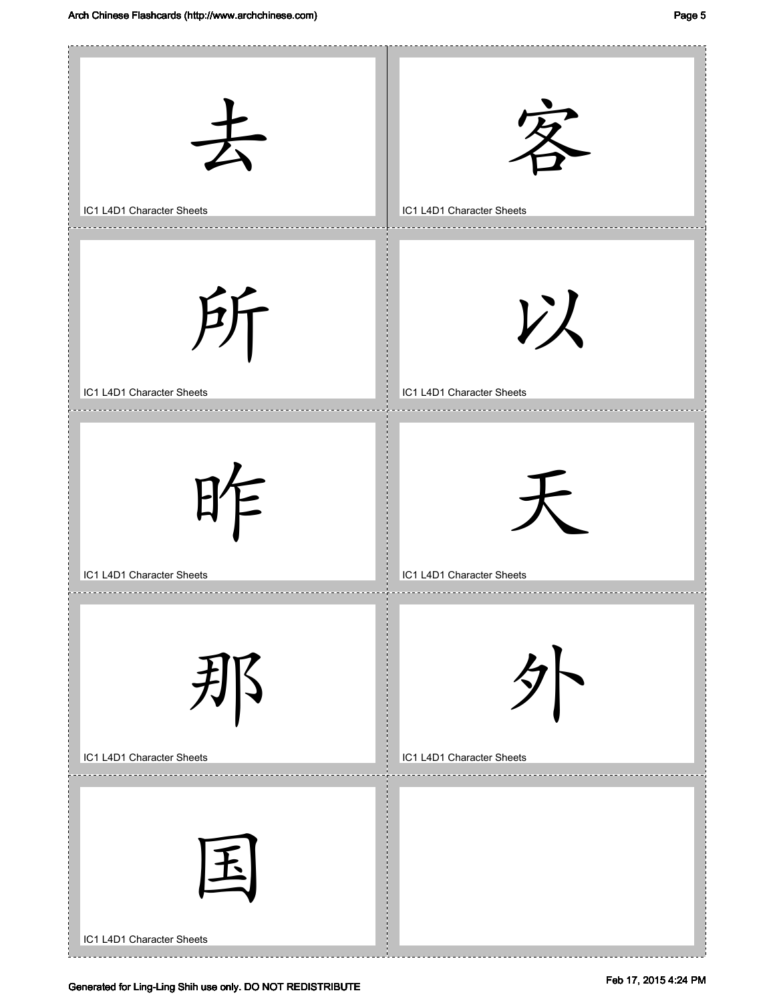